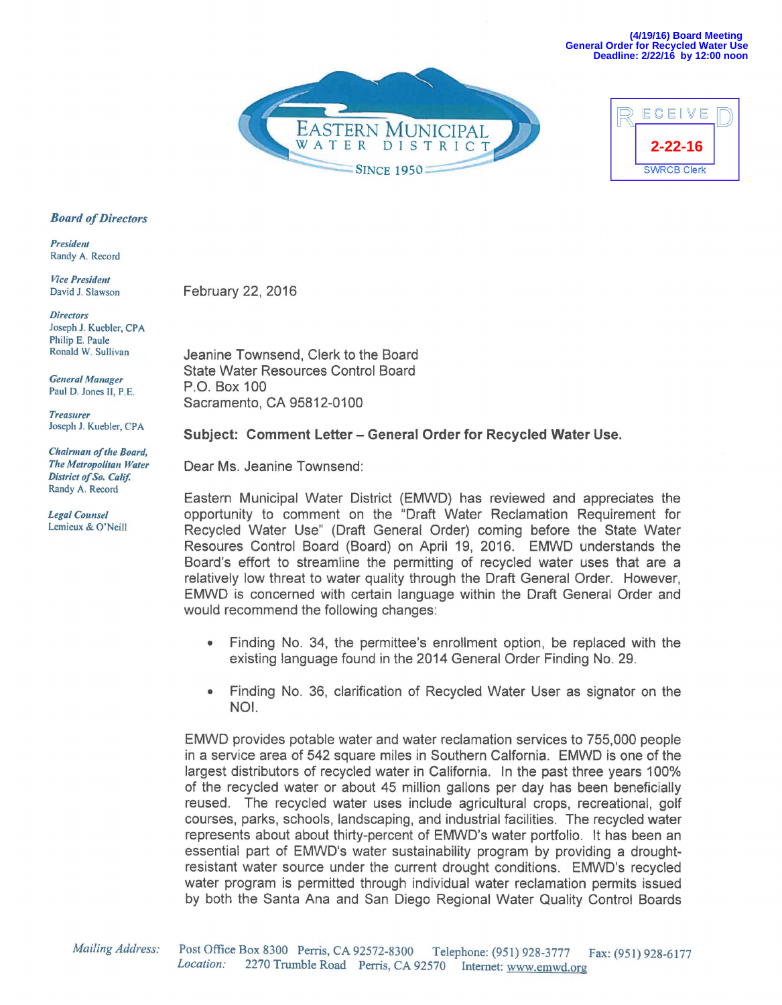**(4/19/16) Board Meeting General Order for Recycled Water Use Deadline: 2/22/16 by 12:00 noon**





## *Board of Directors*

**President** Randy A. Record

*Vice President* David J. Slawson

*Directors*  Joseph J. Kuebler, CPA Philip E. Paule Ronald W. Sullivan

*General Manager* Paul D. Jones II, P.E

*Treasurer*  Joseph J. Kuebler, CPA

*Chairman of the Board, The Metropolitan Water District of So. Calif.*  Randy A. Record

*Legal Counsel* Lemieux & O'Neill February 22, 2016

Jeanine Townsend, Clerk to the Board State Water Resources Control Board P.O. Box 100 Sacramento, CA 95812-0100

## **Subject: Comment Letter- General Order for Recycled Water Use.**

Dear Ms. Jeanine Townsend:

Eastern Municipal Water District (EMWD) has reviewed and appreciates the opportunity to comment on the "Draft Water Reclamation Requirement for Recycled Water Use" (Draft General Order) coming before the State Water Resoures Control Board (Board) on April 19, 2016. EMWD understands the Board's effort to streamline the permitting of recycled water uses that are a relatively low threat to water quality through the Draft General Order. However, EMWD is concerned with certain language within the Draft General Order and would recommend the following changes:

- Finding No. 34, the permittee's enrollment option, be replaced with the existing language found in the 2014 General Order Finding No. 29.
- Finding No. 36, clarification of Recycled Water User as signator on the NOI.

EMWD provides potable water and water reclamation services to 755,000 people in a service area of 542 square miles in Southern Calfornia. EMWD is one of the largest distributors of recycled water in California. In the past three years 100% of the recycled water or about 45 million gallons per day has been beneficially reused. The recycled water uses include agricultural crops, recreational, golf courses, parks, schools, landscaping, and industrial facilities. The recycled water represents about about thirty-percent of EMWD's water portfolio. It has been an essential part of EMWD's water sustainability program by providing a droughtresistant water source under the current drought conditions. EMWD's recycled water program is permitted through individual water reclamation permits issued by both the Santa Ana and San Diego Regional Water Quality Control Boards